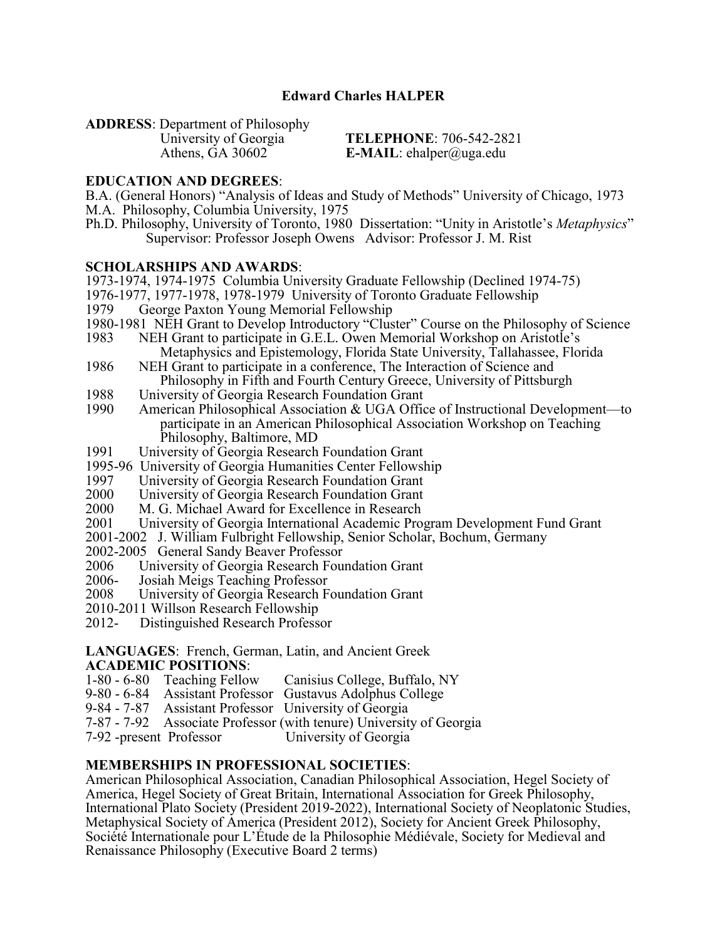## **Edward Charles HALPER**

**ADDRESS**: Department of Philosophy

**TELEPHONE**: 706-542-2821 Athens, GA 30602 **E-MAIL**: ehalper@uga.edu

#### **EDUCATION AND DEGREES**:

B.A. (General Honors) "Analysis of Ideas and Study of Methods" University of Chicago, 1973 M.A. Philosophy, Columbia University, 1975

Ph.D. Philosophy, University of Toronto, 1980 Dissertation: "Unity in Aristotle's *Metaphysics*" Supervisor: Professor Joseph Owens Advisor: Professor J. M. Rist

#### **SCHOLARSHIPS AND AWARDS**:

1973-1974, 1974-1975 Columbia University Graduate Fellowship (Declined 1974-75)

- 1976-1977, 1977-1978, 1978-1979 University of Toronto Graduate Fellowship
- 1979 George Paxton Young Memorial Fellowship
- 1980-1981 NEH Grant to Develop Introductory "Cluster" Course on the Philosophy of Science
- 1983 NEH Grant to participate in G.E.L. Owen Memorial Workshop on Aristotle's Metaphysics and Epistemology, Florida State University, Tallahassee, Florida<br>1986 NEH Grant to participate in a conference. The Interaction of Science and
- NEH Grant to participate in a conference, The Interaction of Science and Philosophy in Fifth and Fourth Century Greece, University of Pittsburgh
- 1988 University of Georgia Research Foundation Grant<br>1990 American Philosophical Association & UGA Offic
- American Philosophical Association & UGA Office of Instructional Development—to participate in an American Philosophical Association Workshop on Teaching Philosophy, Baltimore, MD<br>1991 University of Georgia Research
- University of Georgia Research Foundation Grant
- 1995-96 University of Georgia Humanities Center Fellowship
- 1997 University of Georgia Research Foundation Grant
- 2000 University of Georgia Research Foundation Grant<br>2000 M. G. Michael Award for Excellence in Research
- 2000 M. G. Michael Award for Excellence in Research<br>2001 University of Georgia International Academic Pro
- University of Georgia International Academic Program Development Fund Grant
- 2001-2002 J. William Fulbright Fellowship, Senior Scholar, Bochum, Germany
- 2002-2005 General Sandy Beaver Professor
- 2006 University of Georgia Research Foundation Grant<br>2006- Josiah Meigs Teaching Professor
- 2006- Josiah Meigs Teaching Professor<br>2008 University of Georgia Research F
- University of Georgia Research Foundation Grant
- 2010-2011 Willson Research Fellowship
- 2012- Distinguished Research Professor

#### **LANGUAGES**: French, German, Latin, and Ancient Greek **ACADEMIC POSITIONS**:

- 1-80 6-80 Teaching Fellow Canisius College, Buffalo, NY
- Assistant Professor Gustavus Adolphus College
- 9-84 7-87 Assistant Professor University of Georgia
- 7-87 7-92 Associate Professor (with tenure) University of Georgia
- 7-92 -present Professor

#### **MEMBERSHIPS IN PROFESSIONAL SOCIETIES**:

American Philosophical Association, Canadian Philosophical Association, Hegel Society of America, Hegel Society of Great Britain, International Association for Greek Philosophy, International Plato Society (President 2019-2022), International Society of Neoplatonic Studies, Metaphysical Society of America (President 2012), Society for Ancient Greek Philosophy, Société Internationale pour L'Étude de la Philosophie Médiévale, Society for Medieval and Renaissance Philosophy (Executive Board 2 terms)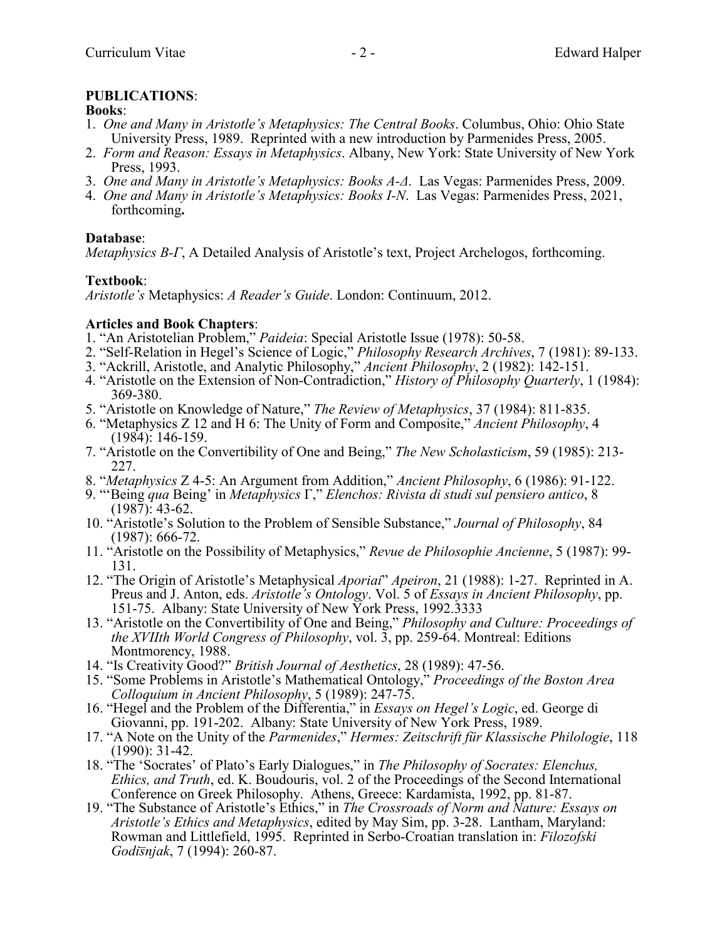## **PUBLICATIONS**:

#### **Books**:

- 1. *One and Many in Aristotle's Metaphysics: The Central Books*. Columbus, Ohio: Ohio State University Press, 1989. Reprinted with a new introduction by Parmenides Press, 2005.
- 2. *Form and Reason: Essays in Metaphysics*. Albany, New York: State University of New York Press, 1993.
- 3. *One and Many in Aristotle's Metaphysics: Books A-Δ*. Las Vegas: Parmenides Press, 2009.
- 4. *One and Many in Aristotle's Metaphysics: Books I-N*. Las Vegas: Parmenides Press, 2021, forthcoming**.**

### **Database**:

*Metaphysics B-Γ*, A Detailed Analysis of Aristotle's text, Project Archelogos, forthcoming.

### **Textbook**:

*Aristotle's* Metaphysics: *A Reader's Guide*. London: Continuum, 2012.

### **Articles and Book Chapters**:

- 1. "An Aristotelian Problem," *Paideia*: Special Aristotle Issue (1978): 50-58.
- 2. "Self-Relation in Hegel's Science of Logic," *Philosophy Research Archives*, 7 (1981): 89-133.
- 3. "Ackrill, Aristotle, and Analytic Philosophy," *Ancient Philosophy*, 2 (1982): 142-151.
- 4. "Aristotle on the Extension of Non-Contradiction," *History of Philosophy Quarterly*, 1 (1984): 369-380.
- 5. "Aristotle on Knowledge of Nature," *The Review of Metaphysics*, 37 (1984): 811-835.
- 6. "Metaphysics Z 12 and H 6: The Unity of Form and Composite," *Ancient Philosophy*, 4 (1984): 146-159.
- 7. "Aristotle on the Convertibility of One and Being," *The New Scholasticism*, 59 (1985): 213- 227.
- 8. "*Metaphysics* Z 4-5: An Argument from Addition," *Ancient Philosophy*, 6 (1986): 91-122.
- 9. "'Being *qua* Being' in *Metaphysics* Γ," *Elenchos: Rivista di studi sul pensiero antico*, 8  $(1987): 43-62.$
- 10. "Aristotle's Solution to the Problem of Sensible Substance," *Journal of Philosophy*, 84 (1987): 666-72.
- 11. "Aristotle on the Possibility of Metaphysics," *Revue de Philosophie Ancienne*, 5 (1987): 99- 131.
- 12. "The Origin of Aristotle's Metaphysical *Aporiai*" *Apeiron*, 21 (1988): 1-27. Reprinted in A. Preus and J. Anton, eds. *Aristotle's Ontology*. Vol. 5 of *Essays in Ancient Philosophy*, pp. 151-75. Albany: State University of New York Press, 1992.3333
- 13. "Aristotle on the Convertibility of One and Being," *Philosophy and Culture: Proceedings of the XVIIth World Congress of Philosophy*, vol. 3, pp. 259-64. Montreal: Editions Montmorency, 1988.
- 14. "Is Creativity Good?" *British Journal of Aesthetics*, 28 (1989): 47-56.
- 15. "Some Problems in Aristotle's Mathematical Ontology," *Proceedings of the Boston Area Colloquium in Ancient Philosophy*, 5 (1989): 247-75.
- 16. "Hegel and the Problem of the Differentia," in *Essays on Hegel's Logic*, ed. George di Giovanni, pp. 191-202. Albany: State University of New York Press, 1989.
- 17. "A Note on the Unity of the *Parmenides*," *Hermes: Zeitschrift für Klassische Philologie*, 118 (1990): 31-42.
- 18. "The 'Socrates' of Plato's Early Dialogues," in *The Philosophy of Socrates: Elenchus, Ethics, and Truth*, ed. K. Boudouris, vol. 2 of the Proceedings of the Second International Conference on Greek Philosophy. Athens, Greece: Kardamista, 1992, pp. 81-87.
- 19. "The Substance of Aristotle's Ethics," in *The Crossroads of Norm and Nature: Essays on Aristotle's Ethics and Metaphysics*, edited by May Sim, pp. 3-28. Lantham, Maryland: Rowman and Littlefield, 1995. Reprinted in Serbo-Croatian translation in: *Filozofski Godis¯njak*, 7 (1994): 260-87.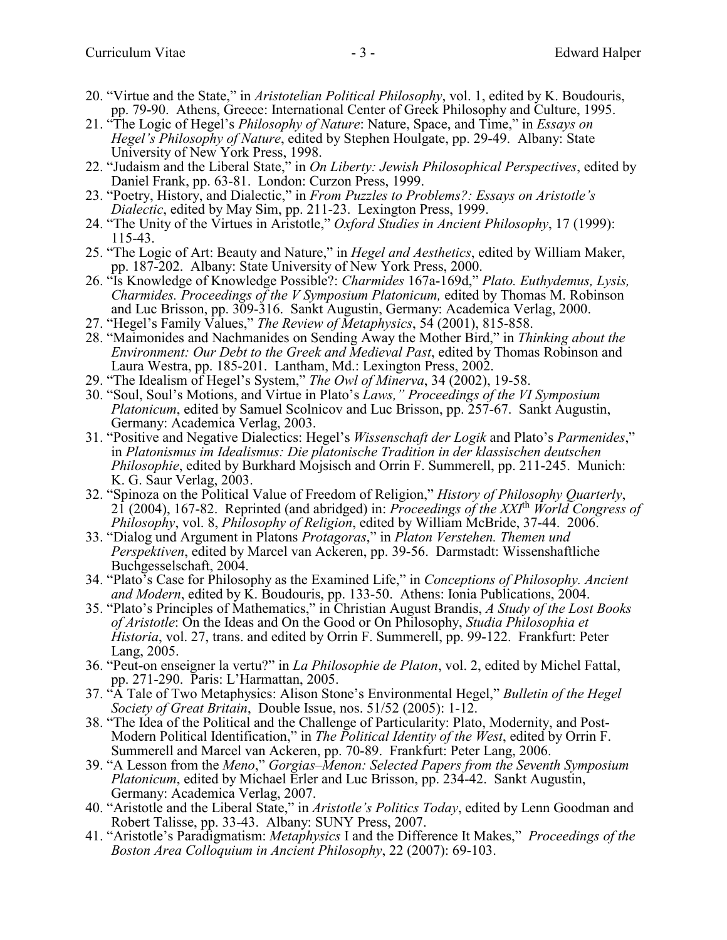- 20. "Virtue and the State," in *Aristotelian Political Philosophy*, vol. 1, edited by K. Boudouris, pp. 79-90. Athens, Greece: International Center of Greek Philosophy and Culture, 1995.
- 21. "The Logic of Hegel's *Philosophy of Nature*: Nature, Space, and Time," in *Essays on Hegel's Philosophy of Nature*, edited by Stephen Houlgate, pp. 29-49. Albany: State University of New York Press, 1998.
- 22. "Judaism and the Liberal State," in *On Liberty: Jewish Philosophical Perspectives*, edited by Daniel Frank, pp. 63-81. London: Curzon Press, 1999.
- 23. "Poetry, History, and Dialectic," in *From Puzzles to Problems?: Essays on Aristotle's Dialectic*, edited by May Sim, pp. 211-23. Lexington Press, 1999.
- 24. "The Unity of the Virtues in Aristotle," *Oxford Studies in Ancient Philosophy*, 17 (1999): 115-43.
- 25. "The Logic of Art: Beauty and Nature," in *Hegel and Aesthetics*, edited by William Maker, pp. 187-202. Albany: State University of New York Press, 2000.
- 26. "Is Knowledge of Knowledge Possible?: *Charmides* 167a-169d," *Plato. Euthydemus, Lysis, Charmides. Proceedings of the V Symposium Platonicum,* edited by Thomas M. Robinson and Luc Brisson, pp. 309-316. Sankt Augustin, Germany: Academica Verlag, 2000.
- 27. "Hegel's Family Values," *The Review of Metaphysics*, 54 (2001), 815-858.
- 28. "Maimonides and Nachmanides on Sending Away the Mother Bird," in *Thinking about the Environment: Our Debt to the Greek and Medieval Past*, edited by Thomas Robinson and Laura Westra, pp. 185-201. Lantham, Md.: Lexington Press, 2002.
- 29. "The Idealism of Hegel's System," *The Owl of Minerva*, 34 (2002), 19-58.
- 30. "Soul, Soul's Motions, and Virtue in Plato's *Laws," Proceedings of the VI Symposium Platonicum*, edited by Samuel Scolnicov and Luc Brisson, pp. 257-67. Sankt Augustin, Germany: Academica Verlag, 2003.
- 31. "Positive and Negative Dialectics: Hegel's *Wissenschaft der Logik* and Plato's *Parmenides*," in *Platonismus im Idealismus: Die platonische Tradition in der klassischen deutschen Philosophie*, edited by Burkhard Mojsisch and Orrin F. Summerell, pp. 211-245. Munich: K. G. Saur Verlag, 2003.
- 32. "Spinoza on the Political Value of Freedom of Religion," *History of Philosophy Quarterly*, 21 (2004), 167-82. Reprinted (and abridged) in: *Proceedings of the XXI*th *World Congress of Philosophy*, vol. 8, *Philosophy of Religion*, edited by William McBride, 37-44. 2006.
- 33. "Dialog und Argument in Platons *Protagoras*," in *Platon Verstehen. Themen und Perspektiven*, edited by Marcel van Ackeren, pp. 39-56. Darmstadt: Wissenshaftliche Buchgesselschaft, 2004.
- 34. "Plato's Case for Philosophy as the Examined Life," in *Conceptions of Philosophy. Ancient*  and Modern, edited by K. Boudouris, pp. 133-50. Athens: Ionia Publications, 2004.
- 35. "Plato's Principles of Mathematics," in Christian August Brandis, *A Study of the Lost Books of Aristotle*: On the Ideas and On the Good or On Philosophy, *Studia Philosophia et Historia*, vol. 27, trans. and edited by Orrin F. Summerell, pp. 99-122. Frankfurt: Peter Lang, 2005.
- 36. "Peut-on enseigner la vertu?" in *La Philosophie de Platon*, vol. 2, edited by Michel Fattal, pp. 271-290. Paris: L'Harmattan, 2005.
- 37. "A Tale of Two Metaphysics: Alison Stone's Environmental Hegel," *Bulletin of the Hegel Society of Great Britain*, Double Issue, nos. 51/52 (2005): 1-12.
- 38. "The Idea of the Political and the Challenge of Particularity: Plato, Modernity, and Post-Modern Political Identification," in *The Political Identity of the West*, edited by Orrin F. Summerell and Marcel van Ackeren, pp. 70-89. Frankfurt: Peter Lang, 2006.
- 39. "A Lesson from the *Meno*," *Gorgias–Menon: Selected Papers from the Seventh Symposium Platonicum*, edited by Michael Erler and Luc Brisson, pp. 234-42. Sankt Augustin, Germany: Academica Verlag, 2007.
- 40. "Aristotle and the Liberal State," in *Aristotle's Politics Today*, edited by Lenn Goodman and Robert Talisse, pp. 33-43. Albany: SUNY Press, 2007.
- 41. "Aristotle's Paradigmatism: *Metaphysics* I and the Difference It Makes," *Proceedings of the Boston Area Colloquium in Ancient Philosophy*, 22 (2007): 69-103.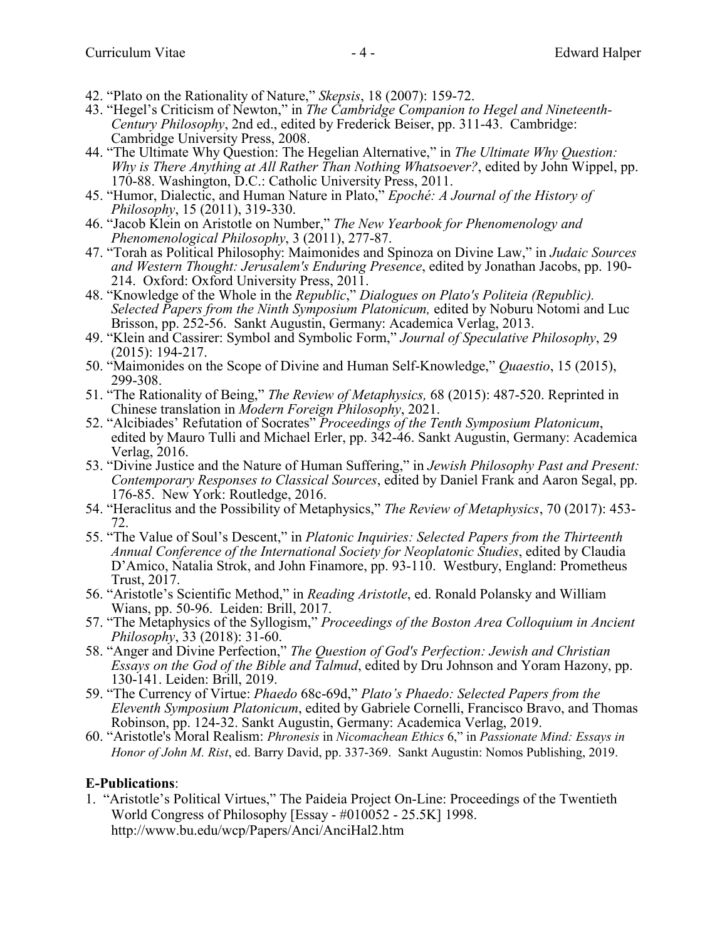- 42. "Plato on the Rationality of Nature," *Skepsis*, 18 (2007): 159-72.
- 43. "Hegel's Criticism of Newton," in *The Cambridge Companion to Hegel and Nineteenth-Century Philosophy*, 2nd ed., edited by Frederick Beiser, pp. 311-43. Cambridge: Cambridge University Press, 2008.
- 44. "The Ultimate Why Question: The Hegelian Alternative," in *The Ultimate Why Question: Why is There Anything at All Rather Than Nothing Whatsoever?*, edited by John Wippel, pp. 170-88. Washington, D.C.: Catholic University Press, 2011.
- 45. "Humor, Dialectic, and Human Nature in Plato," *Epoché: A Journal of the History of Philosophy*, 15 (2011), 319-330.
- 46. "Jacob Klein on Aristotle on Number," *The New Yearbook for Phenomenology and Phenomenological Philosophy*, 3 (2011), 277-87.
- 47. "Torah as Political Philosophy: Maimonides and Spinoza on Divine Law," in *Judaic Sources and Western Thought: Jerusalem's Enduring Presence*, edited by Jonathan Jacobs, pp. 190- 214. Oxford: Oxford University Press, 2011.
- 48. "Knowledge of the Whole in the *Republic*," *Dialogues on Plato's Politeia (Republic). Selected Papers from the Ninth Symposium Platonicum,* edited by Noburu Notomi and Luc Brisson, pp. 252-56. Sankt Augustin, Germany: Academica Verlag, 2013.
- 49. "Klein and Cassirer: Symbol and Symbolic Form," *Journal of Speculative Philosophy*, 29 (2015): 194-217.
- 50. "Maimonides on the Scope of Divine and Human Self-Knowledge," *Quaestio*, 15 (2015), 299-308.
- 51. "The Rationality of Being," *The Review of Metaphysics,* 68 (2015): 487-520. Reprinted in Chinese translation in *Modern Foreign Philosophy*, 2021.
- 52. "Alcibiades' Refutation of Socrates" *Proceedings of the Tenth Symposium Platonicum*, edited by Mauro Tulli and Michael Erler, pp. 342-46. Sankt Augustin, Germany: Academica Verlag, 2016.
- 53. "Divine Justice and the Nature of Human Suffering," in *Jewish Philosophy Past and Present: Contemporary Responses to Classical Sources*, edited by Daniel Frank and Aaron Segal, pp. 176-85. New York: Routledge, 2016.
- 54. "Heraclitus and the Possibility of Metaphysics," *The Review of Metaphysics*, 70 (2017): 453- 72.
- 55. "The Value of Soul's Descent," in *Platonic Inquiries: Selected Papers from the Thirteenth Annual Conference of the International Society for Neoplatonic Studies*, edited by Claudia D'Amico, Natalia Strok, and John Finamore, pp. 93-110. Westbury, England: Prometheus Trust, 2017.
- 56. "Aristotle's Scientific Method," in *Reading Aristotle*, ed. Ronald Polansky and William Wians, pp. 50-96. Leiden: Brill, 2017.
- 57. "The Metaphysics of the Syllogism," *Proceedings of the Boston Area Colloquium in Ancient Philosophy*, 33 (2018): 31-60.
- 58. "Anger and Divine Perfection," *The Question of God's Perfection: Jewish and Christian Essays on the God of the Bible and Talmud*, edited by Dru Johnson and Yoram Hazony, pp. 130-141. Leiden: Brill, 2019.
- 59. "The Currency of Virtue: *Phaedo* 68c-69d," *Plato's Phaedo: Selected Papers from the Eleventh Symposium Platonicum*, edited by Gabriele Cornelli, Francisco Bravo, and Thomas Robinson, pp. 124-32. Sankt Augustin, Germany: Academica Verlag, 2019.
- 60. "Aristotle's Moral Realism: *Phronesis* in *Nicomachean Ethics* 6," in *Passionate Mind: Essays in Honor of John M. Rist*, ed. Barry David, pp. 337-369. Sankt Augustin: Nomos Publishing, 2019.

### **E-Publications**:

1. "Aristotle's Political Virtues," The Paideia Project On-Line: Proceedings of the Twentieth World Congress of Philosophy [Essay - #010052 - 25.5K] 1998. http://www.bu.edu/wcp/Papers/Anci/AnciHal2.htm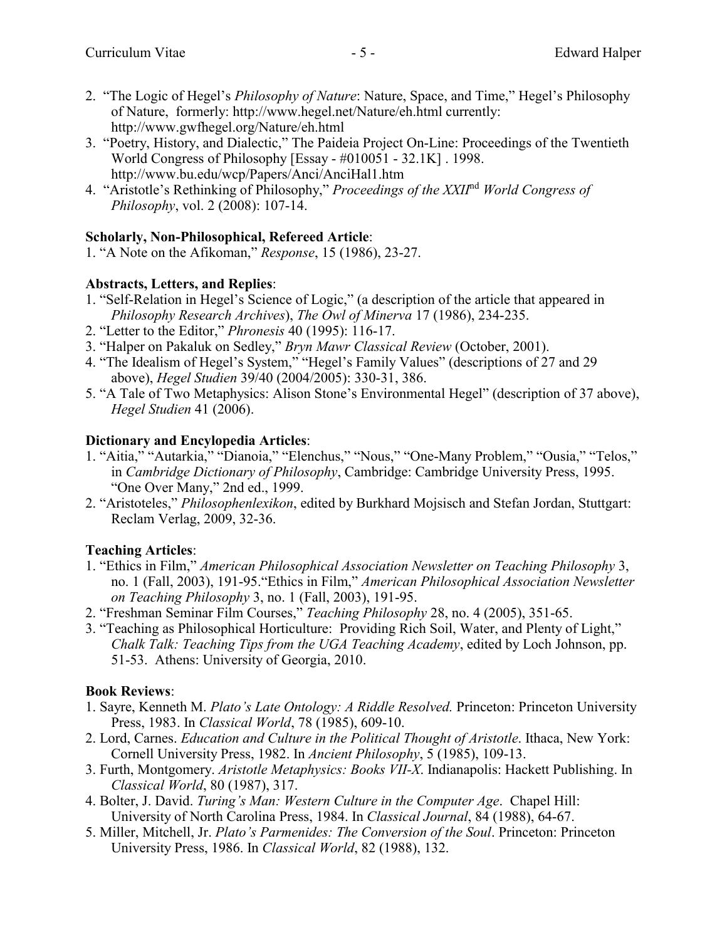- 2. "The Logic of Hegel's *Philosophy of Nature*: Nature, Space, and Time," Hegel's Philosophy of Nature, formerly: http://www.hegel.net/Nature/eh.html currently: http://www.gwfhegel.org/Nature/eh.html
- 3. "Poetry, History, and Dialectic," The Paideia Project On-Line: Proceedings of the Twentieth World Congress of Philosophy [Essay - #010051 - 32.1K] . 1998. http://www.bu.edu/wcp/Papers/Anci/AnciHal1.htm
- 4. "Aristotle's Rethinking of Philosophy," *Proceedings of the XXII*nd *World Congress of Philosophy*, vol. 2 (2008): 107-14.

# **Scholarly, Non-Philosophical, Refereed Article**:

1. "A Note on the Afikoman," *Response*, 15 (1986), 23-27.

# **Abstracts, Letters, and Replies**:

- 1. "Self-Relation in Hegel's Science of Logic," (a description of the article that appeared in *Philosophy Research Archives*), *The Owl of Minerva* 17 (1986), 234-235.
- 2. "Letter to the Editor," *Phronesis* 40 (1995): 116-17.
- 3. "Halper on Pakaluk on Sedley," *Bryn Mawr Classical Review* (October, 2001).
- 4. "The Idealism of Hegel's System," "Hegel's Family Values" (descriptions of 27 and 29 above), *Hegel Studien* 39/40 (2004/2005): 330-31, 386.
- 5. "A Tale of Two Metaphysics: Alison Stone's Environmental Hegel" (description of 37 above), *Hegel Studien* 41 (2006).

# **Dictionary and Encylopedia Articles**:

- 1. "Aitia," "Autarkia," "Dianoia," "Elenchus," "Nous," "One-Many Problem," "Ousia," "Telos," in *Cambridge Dictionary of Philosophy*, Cambridge: Cambridge University Press, 1995. "One Over Many," 2nd ed., 1999.
- 2. "Aristoteles," *Philosophenlexikon*, edited by Burkhard Mojsisch and Stefan Jordan, Stuttgart: Reclam Verlag, 2009, 32-36.

# **Teaching Articles**:

- 1. "Ethics in Film," *American Philosophical Association Newsletter on Teaching Philosophy* 3, no. 1 (Fall, 2003), 191-95."Ethics in Film," *American Philosophical Association Newsletter on Teaching Philosophy* 3, no. 1 (Fall, 2003), 191-95.
- 2. "Freshman Seminar Film Courses," *Teaching Philosophy* 28, no. 4 (2005), 351-65.
- 3. "Teaching as Philosophical Horticulture: Providing Rich Soil, Water, and Plenty of Light," *Chalk Talk: Teaching Tips from the UGA Teaching Academy*, edited by Loch Johnson, pp. 51-53. Athens: University of Georgia, 2010.

# **Book Reviews**:

- 1. Sayre, Kenneth M. *Plato's Late Ontology: A Riddle Resolved.* Princeton: Princeton University Press, 1983. In *Classical World*, 78 (1985), 609-10.
- 2. Lord, Carnes. *Education and Culture in the Political Thought of Aristotle*. Ithaca, New York: Cornell University Press, 1982. In *Ancient Philosophy*, 5 (1985), 109-13.
- 3. Furth, Montgomery. *Aristotle Metaphysics: Books VII-X*. Indianapolis: Hackett Publishing. In *Classical World*, 80 (1987), 317.
- 4. Bolter, J. David. *Turing's Man: Western Culture in the Computer Age*. Chapel Hill: University of North Carolina Press, 1984. In *Classical Journal*, 84 (1988), 64-67.
- 5. Miller, Mitchell, Jr. *Plato's Parmenides: The Conversion of the Soul*. Princeton: Princeton University Press, 1986. In *Classical World*, 82 (1988), 132.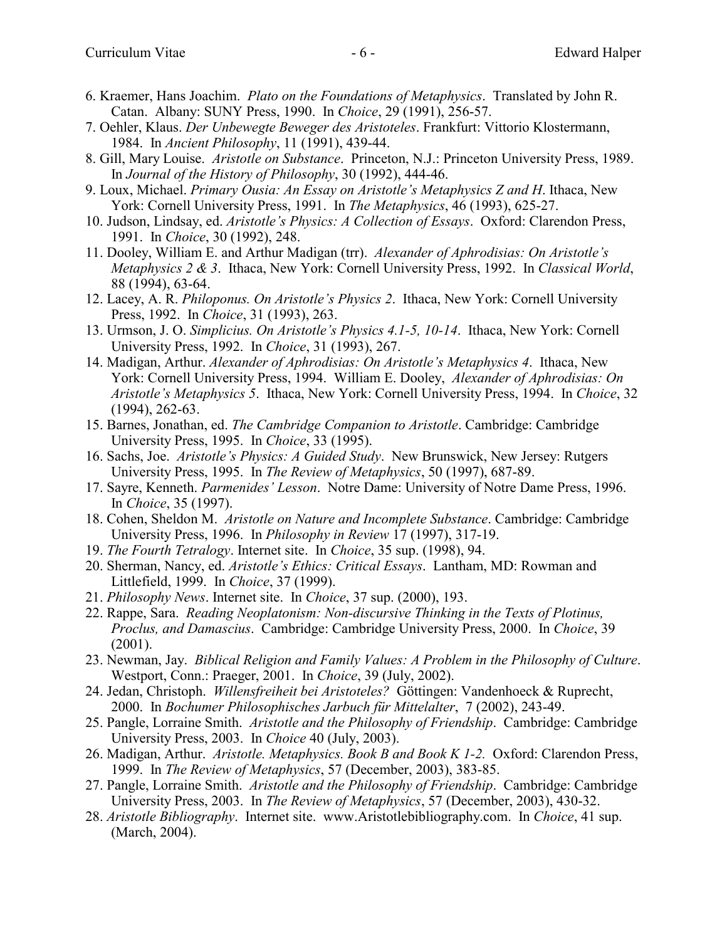- 6. Kraemer, Hans Joachim. *Plato on the Foundations of Metaphysics*. Translated by John R. Catan. Albany: SUNY Press, 1990. In *Choice*, 29 (1991), 256-57.
- 7. Oehler, Klaus. *Der Unbewegte Beweger des Aristoteles*. Frankfurt: Vittorio Klostermann, 1984. In *Ancient Philosophy*, 11 (1991), 439-44.
- 8. Gill, Mary Louise. *Aristotle on Substance*. Princeton, N.J.: Princeton University Press, 1989. In *Journal of the History of Philosophy*, 30 (1992), 444-46.
- 9. Loux, Michael. *Primary Ousia: An Essay on Aristotle's Metaphysics Z and H*. Ithaca, New York: Cornell University Press, 1991. In *The Metaphysics*, 46 (1993), 625-27.
- 10. Judson, Lindsay, ed. *Aristotle's Physics: A Collection of Essays*. Oxford: Clarendon Press, 1991. In *Choice*, 30 (1992), 248.
- 11. Dooley, William E. and Arthur Madigan (trr). *Alexander of Aphrodisias: On Aristotle's Metaphysics 2 & 3*. Ithaca, New York: Cornell University Press, 1992. In *Classical World*, 88 (1994), 63-64.
- 12. Lacey, A. R. *Philoponus. On Aristotle's Physics 2*. Ithaca, New York: Cornell University Press, 1992. In *Choice*, 31 (1993), 263.
- 13. Urmson, J. O. *Simplicius. On Aristotle's Physics 4.1-5, 10-14*. Ithaca, New York: Cornell University Press, 1992. In *Choice*, 31 (1993), 267.
- 14. Madigan, Arthur. *Alexander of Aphrodisias: On Aristotle's Metaphysics 4*. Ithaca, New York: Cornell University Press, 1994. William E. Dooley, *Alexander of Aphrodisias: On Aristotle's Metaphysics 5*. Ithaca, New York: Cornell University Press, 1994. In *Choice*, 32 (1994), 262-63.
- 15. Barnes, Jonathan, ed. *The Cambridge Companion to Aristotle*. Cambridge: Cambridge University Press, 1995. In *Choice*, 33 (1995).
- 16. Sachs, Joe. *Aristotle's Physics: A Guided Study*. New Brunswick, New Jersey: Rutgers University Press, 1995. In *The Review of Metaphysics*, 50 (1997), 687-89.
- 17. Sayre, Kenneth. *Parmenides' Lesson*. Notre Dame: University of Notre Dame Press, 1996. In *Choice*, 35 (1997).
- 18. Cohen, Sheldon M. *Aristotle on Nature and Incomplete Substance*. Cambridge: Cambridge University Press, 1996. In *Philosophy in Review* 17 (1997), 317-19.
- 19. *The Fourth Tetralogy*. Internet site. In *Choice*, 35 sup. (1998), 94.
- 20. Sherman, Nancy, ed. *Aristotle's Ethics: Critical Essays*. Lantham, MD: Rowman and Littlefield, 1999. In *Choice*, 37 (1999).
- 21. *Philosophy News*. Internet site. In *Choice*, 37 sup. (2000), 193.
- 22. Rappe, Sara. *Reading Neoplatonism: Non-discursive Thinking in the Texts of Plotinus, Proclus, and Damascius*. Cambridge: Cambridge University Press, 2000. In *Choice*, 39 (2001).
- 23. Newman, Jay. *Biblical Religion and Family Values: A Problem in the Philosophy of Culture*. Westport, Conn.: Praeger, 2001. In *Choice*, 39 (July, 2002).
- 24. Jedan, Christoph. *Willensfreiheit bei Aristoteles?* Göttingen: Vandenhoeck & Ruprecht, 2000. In *Bochumer Philosophisches Jarbuch für Mittelalter*, 7 (2002), 243-49.
- 25. Pangle, Lorraine Smith. *Aristotle and the Philosophy of Friendship*. Cambridge: Cambridge University Press, 2003. In *Choice* 40 (July, 2003).
- 26. Madigan, Arthur. *Aristotle. Metaphysics. Book B and Book K 1-2.* Oxford: Clarendon Press, 1999. In *The Review of Metaphysics*, 57 (December, 2003), 383-85.
- 27. Pangle, Lorraine Smith. *Aristotle and the Philosophy of Friendship*. Cambridge: Cambridge University Press, 2003. In *The Review of Metaphysics*, 57 (December, 2003), 430-32.
- 28. *Aristotle Bibliography*. Internet site. www.Aristotlebibliography.com. In *Choice*, 41 sup. (March, 2004).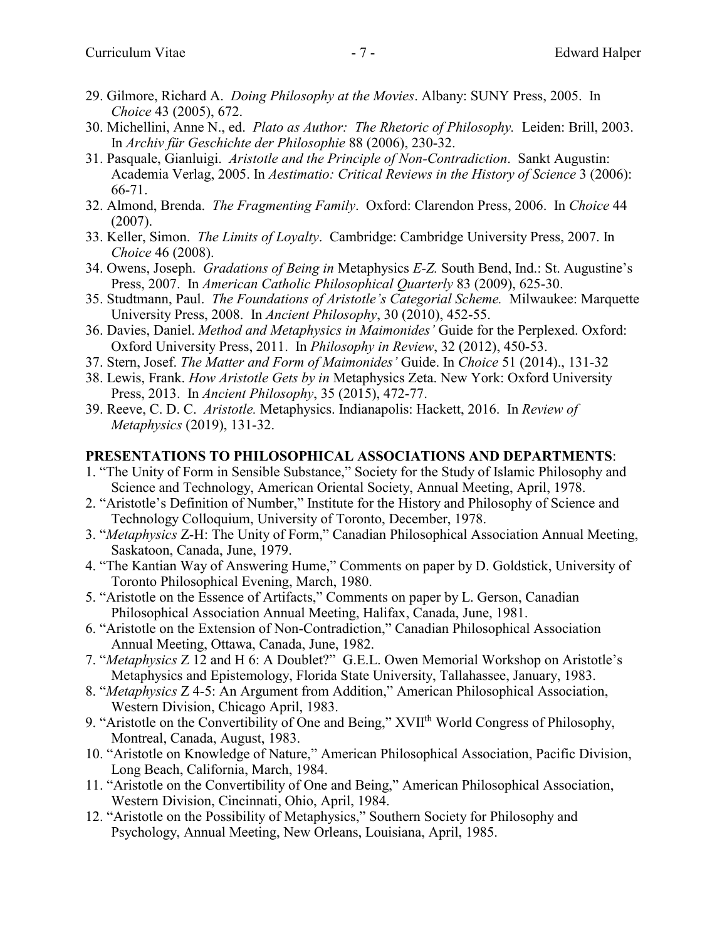- 29. Gilmore, Richard A. *Doing Philosophy at the Movies*. Albany: SUNY Press, 2005. In *Choice* 43 (2005), 672.
- 30. Michellini, Anne N., ed. *Plato as Author: The Rhetoric of Philosophy.* Leiden: Brill, 2003. In *Archiv für Geschichte der Philosophie* 88 (2006), 230-32.
- 31. Pasquale, Gianluigi. *Aristotle and the Principle of Non-Contradiction*. Sankt Augustin: Academia Verlag, 2005. In *Aestimatio: Critical Reviews in the History of Science* 3 (2006): 66-71.
- 32. Almond, Brenda. *The Fragmenting Family*. Oxford: Clarendon Press, 2006. In *Choice* 44 (2007).
- 33. Keller, Simon. *The Limits of Loyalty*. Cambridge: Cambridge University Press, 2007. In *Choice* 46 (2008).
- 34. Owens, Joseph. *Gradations of Being in* Metaphysics *E-Z.* South Bend, Ind.: St. Augustine's Press, 2007. In *American Catholic Philosophical Quarterly* 83 (2009), 625-30.
- 35. Studtmann, Paul. *The Foundations of Aristotle's Categorial Scheme.* Milwaukee: Marquette University Press, 2008. In *Ancient Philosophy*, 30 (2010), 452-55.
- 36. Davies, Daniel. *Method and Metaphysics in Maimonides'* Guide for the Perplexed. Oxford: Oxford University Press, 2011. In *Philosophy in Review*, 32 (2012), 450-53.
- 37. Stern, Josef. *The Matter and Form of Maimonides'* Guide. In *Choice* 51 (2014)., 131-32
- 38. Lewis, Frank. *How Aristotle Gets by in* Metaphysics Zeta. New York: Oxford University Press, 2013. In *Ancient Philosophy*, 35 (2015), 472-77.
- 39. Reeve, C. D. C. *Aristotle.* Metaphysics. Indianapolis: Hackett, 2016. In *Review of Metaphysics* (2019), 131-32.

#### **PRESENTATIONS TO PHILOSOPHICAL ASSOCIATIONS AND DEPARTMENTS**:

- 1. "The Unity of Form in Sensible Substance," Society for the Study of Islamic Philosophy and Science and Technology, American Oriental Society, Annual Meeting, April, 1978.
- 2. "Aristotle's Definition of Number," Institute for the History and Philosophy of Science and Technology Colloquium, University of Toronto, December, 1978.
- 3. "*Metaphysics* Z-H: The Unity of Form," Canadian Philosophical Association Annual Meeting, Saskatoon, Canada, June, 1979.
- 4. "The Kantian Way of Answering Hume," Comments on paper by D. Goldstick, University of Toronto Philosophical Evening, March, 1980.
- 5. "Aristotle on the Essence of Artifacts," Comments on paper by L. Gerson, Canadian Philosophical Association Annual Meeting, Halifax, Canada, June, 1981.
- 6. "Aristotle on the Extension of Non-Contradiction," Canadian Philosophical Association Annual Meeting, Ottawa, Canada, June, 1982.
- 7. "*Metaphysics* Z 12 and H 6: A Doublet?" G.E.L. Owen Memorial Workshop on Aristotle's Metaphysics and Epistemology, Florida State University, Tallahassee, January, 1983.
- 8. "*Metaphysics* Z 4-5: An Argument from Addition," American Philosophical Association, Western Division, Chicago April, 1983.
- 9. "Aristotle on the Convertibility of One and Being," XVII<sup>th</sup> World Congress of Philosophy, Montreal, Canada, August, 1983.
- 10. "Aristotle on Knowledge of Nature," American Philosophical Association, Pacific Division, Long Beach, California, March, 1984.
- 11. "Aristotle on the Convertibility of One and Being," American Philosophical Association, Western Division, Cincinnati, Ohio, April, 1984.
- 12. "Aristotle on the Possibility of Metaphysics," Southern Society for Philosophy and Psychology, Annual Meeting, New Orleans, Louisiana, April, 1985.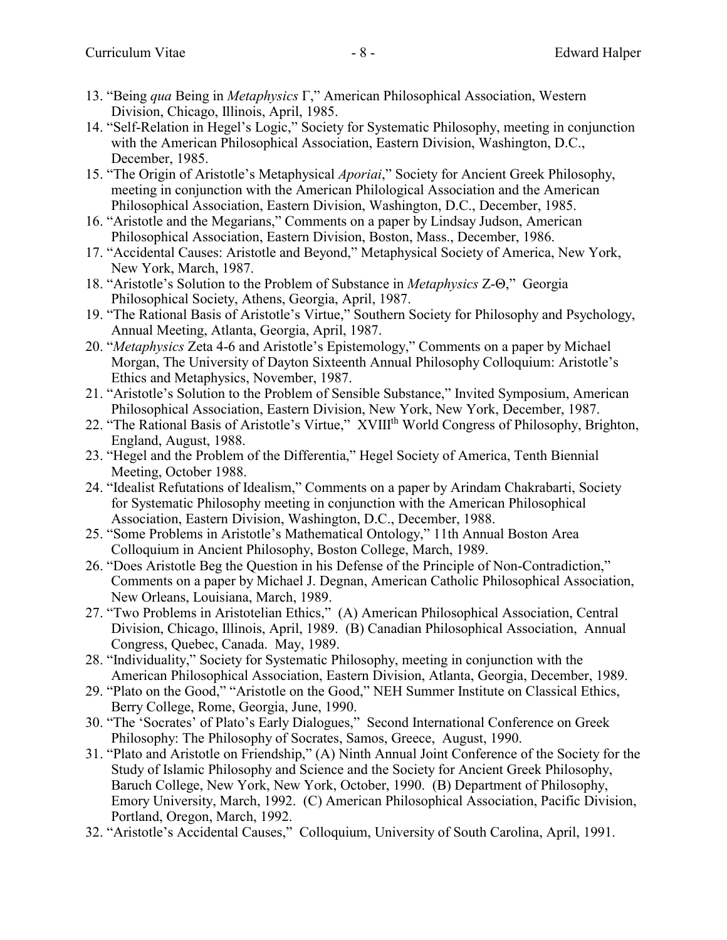- 13. "Being *qua* Being in *Metaphysics* Γ," American Philosophical Association, Western Division, Chicago, Illinois, April, 1985.
- 14. "Self-Relation in Hegel's Logic," Society for Systematic Philosophy, meeting in conjunction with the American Philosophical Association, Eastern Division, Washington, D.C., December, 1985.
- 15. "The Origin of Aristotle's Metaphysical *Aporiai*," Society for Ancient Greek Philosophy, meeting in conjunction with the American Philological Association and the American Philosophical Association, Eastern Division, Washington, D.C., December, 1985.
- 16. "Aristotle and the Megarians," Comments on a paper by Lindsay Judson, American Philosophical Association, Eastern Division, Boston, Mass., December, 1986.
- 17. "Accidental Causes: Aristotle and Beyond," Metaphysical Society of America, New York, New York, March, 1987.
- 18. "Aristotle's Solution to the Problem of Substance in *Metaphysics* Z-Θ," Georgia Philosophical Society, Athens, Georgia, April, 1987.
- 19. "The Rational Basis of Aristotle's Virtue," Southern Society for Philosophy and Psychology, Annual Meeting, Atlanta, Georgia, April, 1987.
- 20. "*Metaphysics* Zeta 4-6 and Aristotle's Epistemology," Comments on a paper by Michael Morgan, The University of Dayton Sixteenth Annual Philosophy Colloquium: Aristotle's Ethics and Metaphysics, November, 1987.
- 21. "Aristotle's Solution to the Problem of Sensible Substance," Invited Symposium, American Philosophical Association, Eastern Division, New York, New York, December, 1987.
- 22. "The Rational Basis of Aristotle's Virtue," XVIIIth World Congress of Philosophy, Brighton, England, August, 1988.
- 23. "Hegel and the Problem of the Differentia," Hegel Society of America, Tenth Biennial Meeting, October 1988.
- 24. "Idealist Refutations of Idealism," Comments on a paper by Arindam Chakrabarti, Society for Systematic Philosophy meeting in conjunction with the American Philosophical Association, Eastern Division, Washington, D.C., December, 1988.
- 25. "Some Problems in Aristotle's Mathematical Ontology," 11th Annual Boston Area Colloquium in Ancient Philosophy, Boston College, March, 1989.
- 26. "Does Aristotle Beg the Question in his Defense of the Principle of Non-Contradiction," Comments on a paper by Michael J. Degnan, American Catholic Philosophical Association, New Orleans, Louisiana, March, 1989.
- 27. "Two Problems in Aristotelian Ethics," (A) American Philosophical Association, Central Division, Chicago, Illinois, April, 1989. (B) Canadian Philosophical Association, Annual Congress, Quebec, Canada. May, 1989.
- 28. "Individuality," Society for Systematic Philosophy, meeting in conjunction with the American Philosophical Association, Eastern Division, Atlanta, Georgia, December, 1989.
- 29. "Plato on the Good," "Aristotle on the Good," NEH Summer Institute on Classical Ethics, Berry College, Rome, Georgia, June, 1990.
- 30. "The 'Socrates' of Plato's Early Dialogues," Second International Conference on Greek Philosophy: The Philosophy of Socrates, Samos, Greece, August, 1990.
- 31. "Plato and Aristotle on Friendship," (A) Ninth Annual Joint Conference of the Society for the Study of Islamic Philosophy and Science and the Society for Ancient Greek Philosophy, Baruch College, New York, New York, October, 1990. (B) Department of Philosophy, Emory University, March, 1992. (C) American Philosophical Association, Pacific Division, Portland, Oregon, March, 1992.
- 32. "Aristotle's Accidental Causes," Colloquium, University of South Carolina, April, 1991.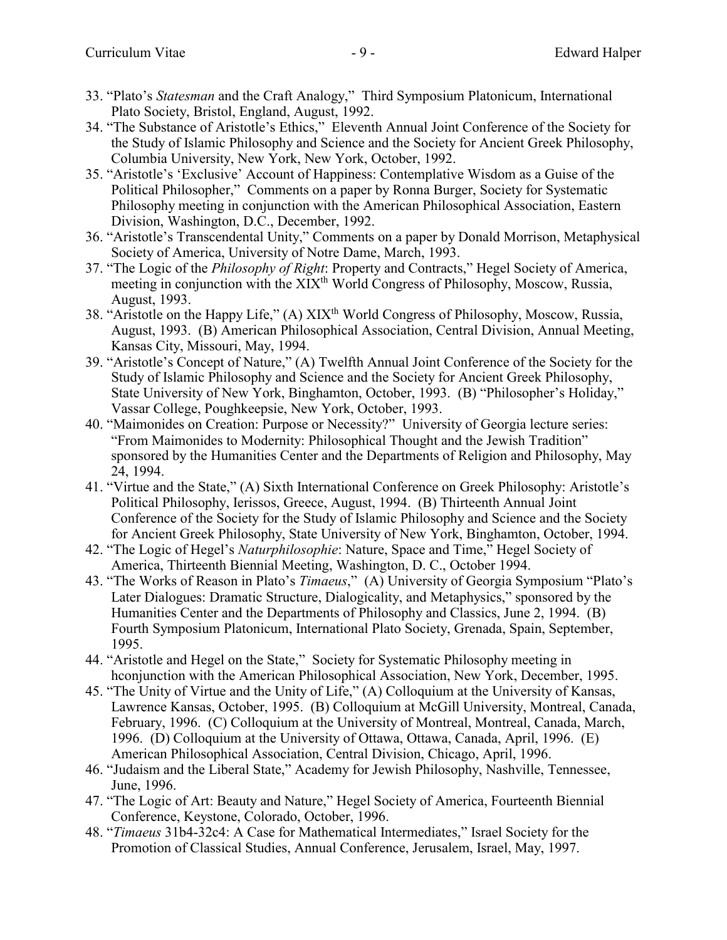- 33. "Plato's *Statesman* and the Craft Analogy," Third Symposium Platonicum, International Plato Society, Bristol, England, August, 1992.
- 34. "The Substance of Aristotle's Ethics," Eleventh Annual Joint Conference of the Society for the Study of Islamic Philosophy and Science and the Society for Ancient Greek Philosophy, Columbia University, New York, New York, October, 1992.
- 35. "Aristotle's 'Exclusive' Account of Happiness: Contemplative Wisdom as a Guise of the Political Philosopher," Comments on a paper by Ronna Burger, Society for Systematic Philosophy meeting in conjunction with the American Philosophical Association, Eastern Division, Washington, D.C., December, 1992.
- 36. "Aristotle's Transcendental Unity," Comments on a paper by Donald Morrison, Metaphysical Society of America, University of Notre Dame, March, 1993.
- 37. "The Logic of the *Philosophy of Right*: Property and Contracts," Hegel Society of America, meeting in conjunction with the XIX<sup>th</sup> World Congress of Philosophy, Moscow, Russia, August, 1993.
- 38. "Aristotle on the Happy Life," (A) XIX<sup>th</sup> World Congress of Philosophy, Moscow, Russia, August, 1993. (B) American Philosophical Association, Central Division, Annual Meeting, Kansas City, Missouri, May, 1994.
- 39. "Aristotle's Concept of Nature," (A) Twelfth Annual Joint Conference of the Society for the Study of Islamic Philosophy and Science and the Society for Ancient Greek Philosophy, State University of New York, Binghamton, October, 1993. (B) "Philosopher's Holiday," Vassar College, Poughkeepsie, New York, October, 1993.
- 40. "Maimonides on Creation: Purpose or Necessity?" University of Georgia lecture series: "From Maimonides to Modernity: Philosophical Thought and the Jewish Tradition" sponsored by the Humanities Center and the Departments of Religion and Philosophy, May 24, 1994.
- 41. "Virtue and the State," (A) Sixth International Conference on Greek Philosophy: Aristotle's Political Philosophy, Ierissos, Greece, August, 1994. (B) Thirteenth Annual Joint Conference of the Society for the Study of Islamic Philosophy and Science and the Society for Ancient Greek Philosophy, State University of New York, Binghamton, October, 1994.
- 42. "The Logic of Hegel's *Naturphilosophie*: Nature, Space and Time," Hegel Society of America, Thirteenth Biennial Meeting, Washington, D. C., October 1994.
- 43. "The Works of Reason in Plato's *Timaeus*," (A) University of Georgia Symposium "Plato's Later Dialogues: Dramatic Structure, Dialogicality, and Metaphysics," sponsored by the Humanities Center and the Departments of Philosophy and Classics, June 2, 1994. (B) Fourth Symposium Platonicum, International Plato Society, Grenada, Spain, September, 1995.
- 44. "Aristotle and Hegel on the State," Society for Systematic Philosophy meeting in hconjunction with the American Philosophical Association, New York, December, 1995.
- 45. "The Unity of Virtue and the Unity of Life," (A) Colloquium at the University of Kansas, Lawrence Kansas, October, 1995. (B) Colloquium at McGill University, Montreal, Canada, February, 1996. (C) Colloquium at the University of Montreal, Montreal, Canada, March, 1996. (D) Colloquium at the University of Ottawa, Ottawa, Canada, April, 1996. (E) American Philosophical Association, Central Division, Chicago, April, 1996.
- 46. "Judaism and the Liberal State," Academy for Jewish Philosophy, Nashville, Tennessee, June, 1996.
- 47. "The Logic of Art: Beauty and Nature," Hegel Society of America, Fourteenth Biennial Conference, Keystone, Colorado, October, 1996.
- 48. "*Timaeus* 31b4-32c4: A Case for Mathematical Intermediates," Israel Society for the Promotion of Classical Studies, Annual Conference, Jerusalem, Israel, May, 1997.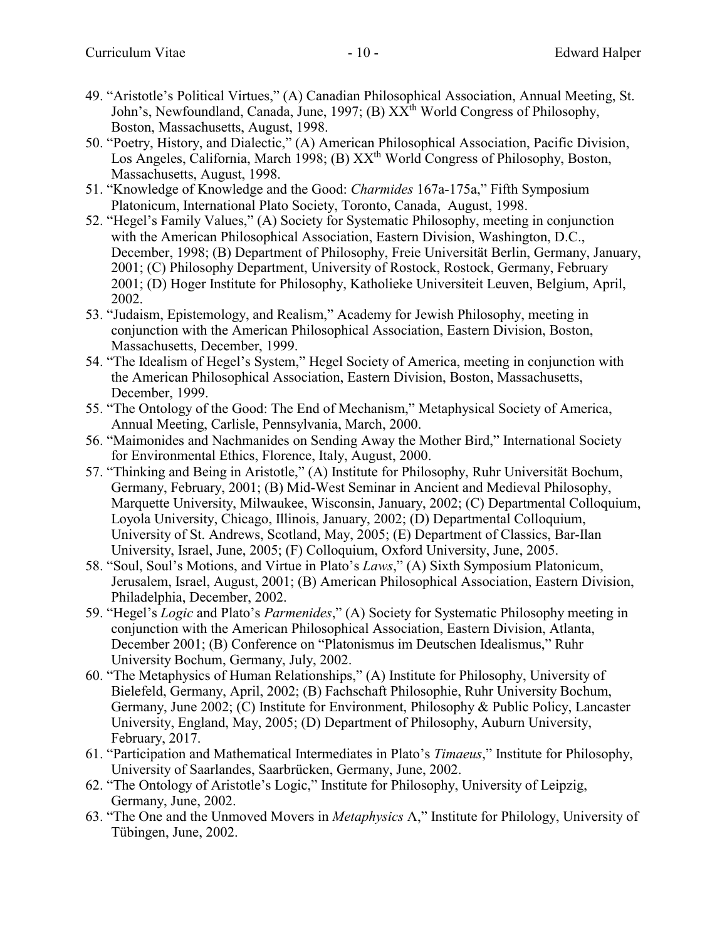- 49. "Aristotle's Political Virtues," (A) Canadian Philosophical Association, Annual Meeting, St. John's, Newfoundland, Canada, June, 1997; (B) XX<sup>th</sup> World Congress of Philosophy, Boston, Massachusetts, August, 1998.
- 50. "Poetry, History, and Dialectic," (A) American Philosophical Association, Pacific Division, Los Angeles, California, March 1998; (B) XX<sup>th</sup> World Congress of Philosophy, Boston, Massachusetts, August, 1998.
- 51. "Knowledge of Knowledge and the Good: *Charmides* 167a-175a," Fifth Symposium Platonicum, International Plato Society, Toronto, Canada, August, 1998.
- 52. "Hegel's Family Values," (A) Society for Systematic Philosophy, meeting in conjunction with the American Philosophical Association, Eastern Division, Washington, D.C., December, 1998; (B) Department of Philosophy, Freie Universität Berlin, Germany, January, 2001; (C) Philosophy Department, University of Rostock, Rostock, Germany, February 2001; (D) Hoger Institute for Philosophy, Katholieke Universiteit Leuven, Belgium, April, 2002.
- 53. "Judaism, Epistemology, and Realism," Academy for Jewish Philosophy, meeting in conjunction with the American Philosophical Association, Eastern Division, Boston, Massachusetts, December, 1999.
- 54. "The Idealism of Hegel's System," Hegel Society of America, meeting in conjunction with the American Philosophical Association, Eastern Division, Boston, Massachusetts, December, 1999.
- 55. "The Ontology of the Good: The End of Mechanism," Metaphysical Society of America, Annual Meeting, Carlisle, Pennsylvania, March, 2000.
- 56. "Maimonides and Nachmanides on Sending Away the Mother Bird," International Society for Environmental Ethics, Florence, Italy, August, 2000.
- 57. "Thinking and Being in Aristotle," (A) Institute for Philosophy, Ruhr Universität Bochum, Germany, February, 2001; (B) Mid-West Seminar in Ancient and Medieval Philosophy, Marquette University, Milwaukee, Wisconsin, January, 2002; (C) Departmental Colloquium, Loyola University, Chicago, Illinois, January, 2002; (D) Departmental Colloquium, University of St. Andrews, Scotland, May, 2005; (E) Department of Classics, Bar-Ilan University, Israel, June, 2005; (F) Colloquium, Oxford University, June, 2005.
- 58. "Soul, Soul's Motions, and Virtue in Plato's *Laws*," (A) Sixth Symposium Platonicum, Jerusalem, Israel, August, 2001; (B) American Philosophical Association, Eastern Division, Philadelphia, December, 2002.
- 59. "Hegel's *Logic* and Plato's *Parmenides*," (A) Society for Systematic Philosophy meeting in conjunction with the American Philosophical Association, Eastern Division, Atlanta, December 2001; (B) Conference on "Platonismus im Deutschen Idealismus," Ruhr University Bochum, Germany, July, 2002.
- 60. "The Metaphysics of Human Relationships," (A) Institute for Philosophy, University of Bielefeld, Germany, April, 2002; (B) Fachschaft Philosophie, Ruhr University Bochum, Germany, June 2002; (C) Institute for Environment, Philosophy & Public Policy, Lancaster University, England, May, 2005; (D) Department of Philosophy, Auburn University, February, 2017.
- 61. "Participation and Mathematical Intermediates in Plato's *Timaeus*," Institute for Philosophy, University of Saarlandes, Saarbrücken, Germany, June, 2002.
- 62. "The Ontology of Aristotle's Logic," Institute for Philosophy, University of Leipzig, Germany, June, 2002.
- 63. "The One and the Unmoved Movers in *Metaphysics* Λ," Institute for Philology, University of Tübingen, June, 2002.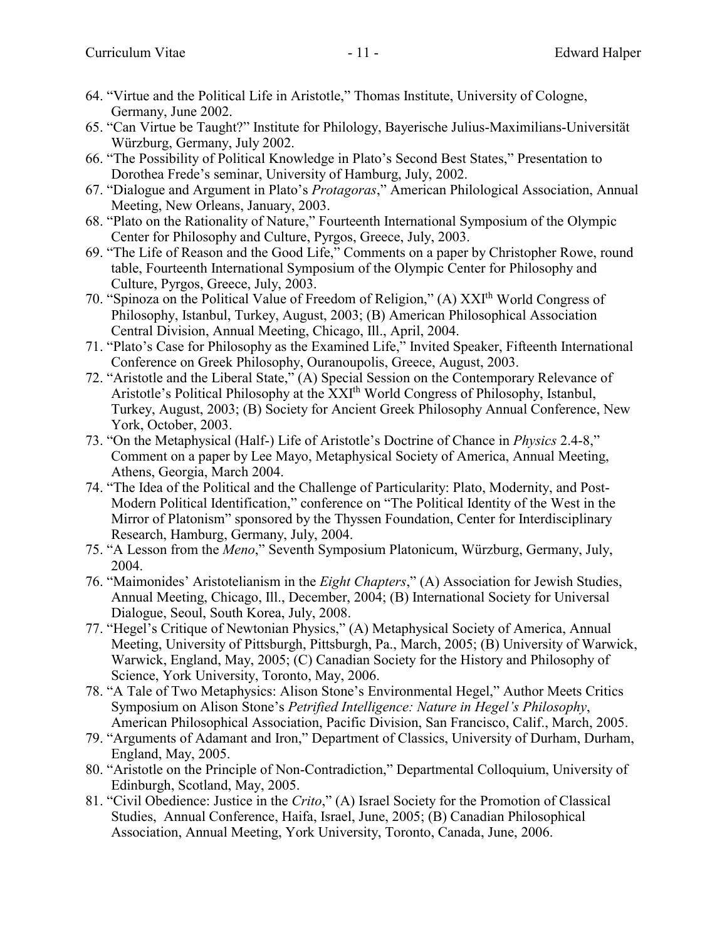- 64. "Virtue and the Political Life in Aristotle," Thomas Institute, University of Cologne, Germany, June 2002.
- 65. "Can Virtue be Taught?" Institute for Philology, Bayerische Julius-Maximilians-Universität Würzburg, Germany, July 2002.
- 66. "The Possibility of Political Knowledge in Plato's Second Best States," Presentation to Dorothea Frede's seminar, University of Hamburg, July, 2002.
- 67. "Dialogue and Argument in Plato's *Protagoras*," American Philological Association, Annual Meeting, New Orleans, January, 2003.
- 68. "Plato on the Rationality of Nature," Fourteenth International Symposium of the Olympic Center for Philosophy and Culture, Pyrgos, Greece, July, 2003.
- 69. "The Life of Reason and the Good Life," Comments on a paper by Christopher Rowe, round table, Fourteenth International Symposium of the Olympic Center for Philosophy and Culture, Pyrgos, Greece, July, 2003.
- 70. "Spinoza on the Political Value of Freedom of Religion," (A) XXIth World Congress of Philosophy, Istanbul, Turkey, August, 2003; (B) American Philosophical Association Central Division, Annual Meeting, Chicago, Ill., April, 2004.
- 71. "Plato's Case for Philosophy as the Examined Life," Invited Speaker, Fifteenth International Conference on Greek Philosophy, Ouranoupolis, Greece, August, 2003.
- 72. "Aristotle and the Liberal State," (A) Special Session on the Contemporary Relevance of Aristotle's Political Philosophy at the XXI<sup>th</sup> World Congress of Philosophy, Istanbul, Turkey, August, 2003; (B) Society for Ancient Greek Philosophy Annual Conference, New York, October, 2003.
- 73. "On the Metaphysical (Half-) Life of Aristotle's Doctrine of Chance in *Physics* 2.4-8," Comment on a paper by Lee Mayo, Metaphysical Society of America, Annual Meeting, Athens, Georgia, March 2004.
- 74. "The Idea of the Political and the Challenge of Particularity: Plato, Modernity, and Post-Modern Political Identification," conference on "The Political Identity of the West in the Mirror of Platonism" sponsored by the Thyssen Foundation, Center for Interdisciplinary Research, Hamburg, Germany, July, 2004.
- 75. "A Lesson from the *Meno*," Seventh Symposium Platonicum, Würzburg, Germany, July, 2004.
- 76. "Maimonides' Aristotelianism in the *Eight Chapters*," (A) Association for Jewish Studies, Annual Meeting, Chicago, Ill., December, 2004; (B) International Society for Universal Dialogue, Seoul, South Korea, July, 2008.
- 77. "Hegel's Critique of Newtonian Physics," (A) Metaphysical Society of America, Annual Meeting, University of Pittsburgh, Pittsburgh, Pa., March, 2005; (B) University of Warwick, Warwick, England, May, 2005; (C) Canadian Society for the History and Philosophy of Science, York University, Toronto, May, 2006.
- 78. "A Tale of Two Metaphysics: Alison Stone's Environmental Hegel," Author Meets Critics Symposium on Alison Stone's *Petrified Intelligence: Nature in Hegel's Philosophy*, American Philosophical Association, Pacific Division, San Francisco, Calif., March, 2005.
- 79. "Arguments of Adamant and Iron," Department of Classics, University of Durham, Durham, England, May, 2005.
- 80. "Aristotle on the Principle of Non-Contradiction," Departmental Colloquium, University of Edinburgh, Scotland, May, 2005.
- 81. "Civil Obedience: Justice in the *Crito*," (A) Israel Society for the Promotion of Classical Studies, Annual Conference, Haifa, Israel, June, 2005; (B) Canadian Philosophical Association, Annual Meeting, York University, Toronto, Canada, June, 2006.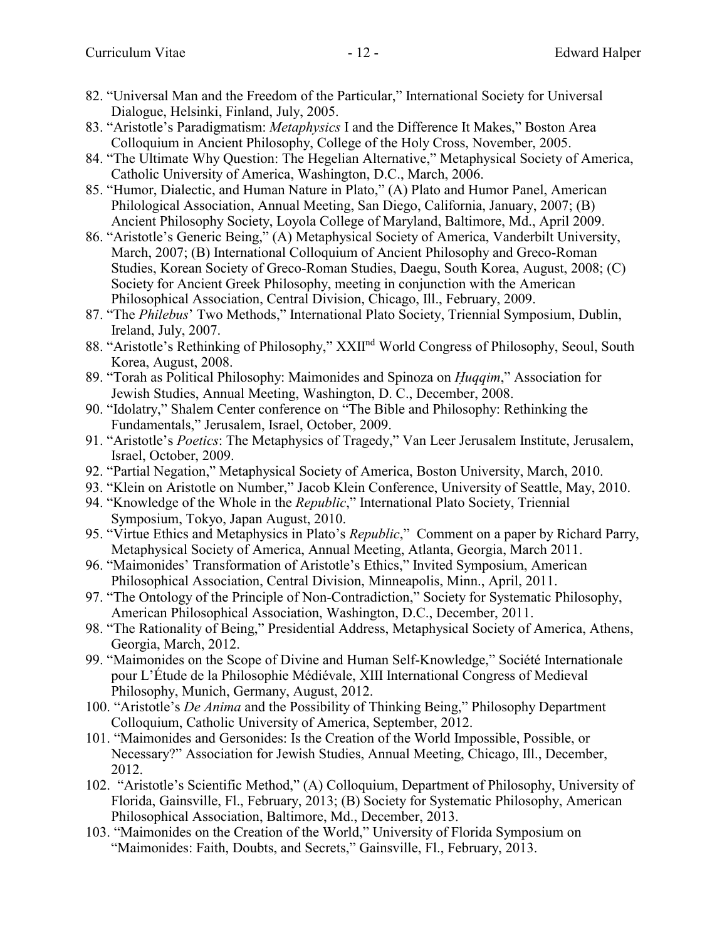- 82. "Universal Man and the Freedom of the Particular," International Society for Universal Dialogue, Helsinki, Finland, July, 2005.
- 83. "Aristotle's Paradigmatism: *Metaphysics* I and the Difference It Makes," Boston Area Colloquium in Ancient Philosophy, College of the Holy Cross, November, 2005.
- 84. "The Ultimate Why Question: The Hegelian Alternative," Metaphysical Society of America, Catholic University of America, Washington, D.C., March, 2006.
- 85. "Humor, Dialectic, and Human Nature in Plato," (A) Plato and Humor Panel, American Philological Association, Annual Meeting, San Diego, California, January, 2007; (B) Ancient Philosophy Society, Loyola College of Maryland, Baltimore, Md., April 2009.
- 86. "Aristotle's Generic Being," (A) Metaphysical Society of America, Vanderbilt University, March, 2007; (B) International Colloquium of Ancient Philosophy and Greco-Roman Studies, Korean Society of Greco-Roman Studies, Daegu, South Korea, August, 2008; (C) Society for Ancient Greek Philosophy, meeting in conjunction with the American Philosophical Association, Central Division, Chicago, Ill., February, 2009.
- 87. "The *Philebus*' Two Methods," International Plato Society, Triennial Symposium, Dublin, Ireland, July, 2007.
- 88. "Aristotle's Rethinking of Philosophy," XXII<sup>nd</sup> World Congress of Philosophy, Seoul, South Korea, August, 2008.
- 89. "Torah as Political Philosophy: Maimonides and Spinoza on *H. uqqim*," Association for Jewish Studies, Annual Meeting, Washington, D. C., December, 2008.
- 90. "Idolatry," Shalem Center conference on "The Bible and Philosophy: Rethinking the Fundamentals," Jerusalem, Israel, October, 2009.
- 91. "Aristotle's *Poetics*: The Metaphysics of Tragedy," Van Leer Jerusalem Institute, Jerusalem, Israel, October, 2009.
- 92. "Partial Negation," Metaphysical Society of America, Boston University, March, 2010.
- 93. "Klein on Aristotle on Number," Jacob Klein Conference, University of Seattle, May, 2010.
- 94. "Knowledge of the Whole in the *Republic*," International Plato Society, Triennial Symposium, Tokyo, Japan August, 2010.
- 95. "Virtue Ethics and Metaphysics in Plato's *Republic*," Comment on a paper by Richard Parry, Metaphysical Society of America, Annual Meeting, Atlanta, Georgia, March 2011.
- 96. "Maimonides' Transformation of Aristotle's Ethics," Invited Symposium, American Philosophical Association, Central Division, Minneapolis, Minn., April, 2011.
- 97. "The Ontology of the Principle of Non-Contradiction," Society for Systematic Philosophy, American Philosophical Association, Washington, D.C., December, 2011.
- 98. "The Rationality of Being," Presidential Address, Metaphysical Society of America, Athens, Georgia, March, 2012.
- 99. "Maimonides on the Scope of Divine and Human Self-Knowledge," Société Internationale pour L'Étude de la Philosophie Médiévale, XIII International Congress of Medieval Philosophy, Munich, Germany, August, 2012.
- 100. "Aristotle's *De Anima* and the Possibility of Thinking Being," Philosophy Department Colloquium, Catholic University of America, September, 2012.
- 101. "Maimonides and Gersonides: Is the Creation of the World Impossible, Possible, or Necessary?" Association for Jewish Studies, Annual Meeting, Chicago, Ill., December, 2012.
- 102. "Aristotle's Scientific Method," (A) Colloquium, Department of Philosophy, University of Florida, Gainsville, Fl., February, 2013; (B) Society for Systematic Philosophy, American Philosophical Association, Baltimore, Md., December, 2013.
- 103. "Maimonides on the Creation of the World," University of Florida Symposium on "Maimonides: Faith, Doubts, and Secrets," Gainsville, Fl., February, 2013.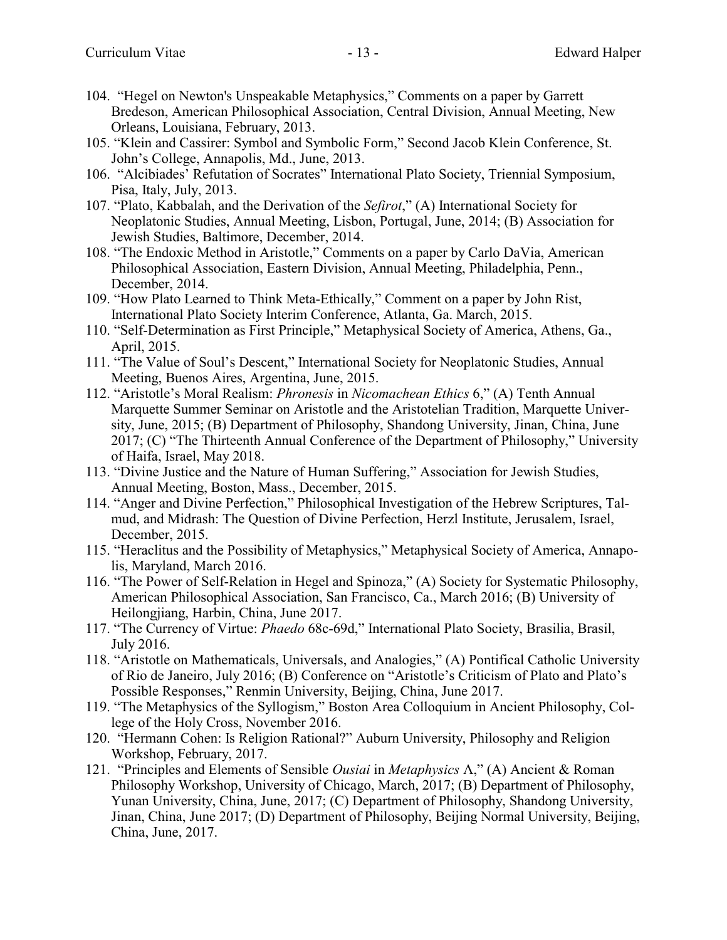- 104. "Hegel on Newton's Unspeakable Metaphysics," Comments on a paper by Garrett Bredeson, American Philosophical Association, Central Division, Annual Meeting, New Orleans, Louisiana, February, 2013.
- 105. "Klein and Cassirer: Symbol and Symbolic Form," Second Jacob Klein Conference, St. John's College, Annapolis, Md., June, 2013.
- 106. "Alcibiades' Refutation of Socrates" International Plato Society, Triennial Symposium, Pisa, Italy, July, 2013.
- 107. "Plato, Kabbalah, and the Derivation of the *Sefirot*," (A) International Society for Neoplatonic Studies, Annual Meeting, Lisbon, Portugal, June, 2014; (B) Association for Jewish Studies, Baltimore, December, 2014.
- 108. "The Endoxic Method in Aristotle," Comments on a paper by Carlo DaVia, American Philosophical Association, Eastern Division, Annual Meeting, Philadelphia, Penn., December, 2014.
- 109. "How Plato Learned to Think Meta-Ethically," Comment on a paper by John Rist, International Plato Society Interim Conference, Atlanta, Ga. March, 2015.
- 110. "Self-Determination as First Principle," Metaphysical Society of America, Athens, Ga., April, 2015.
- 111. "The Value of Soul's Descent," International Society for Neoplatonic Studies, Annual Meeting, Buenos Aires, Argentina, June, 2015.
- 112. "Aristotle's Moral Realism: *Phronesis* in *Nicomachean Ethics* 6," (A) Tenth Annual Marquette Summer Seminar on Aristotle and the Aristotelian Tradition, Marquette University, June, 2015; (B) Department of Philosophy, Shandong University, Jinan, China, June 2017; (C) "The Thirteenth Annual Conference of the Department of Philosophy," University of Haifa, Israel, May 2018.
- 113. "Divine Justice and the Nature of Human Suffering," Association for Jewish Studies, Annual Meeting, Boston, Mass., December, 2015.
- 114. "Anger and Divine Perfection," Philosophical Investigation of the Hebrew Scriptures, Talmud, and Midrash: The Question of Divine Perfection, Herzl Institute, Jerusalem, Israel, December, 2015.
- 115. "Heraclitus and the Possibility of Metaphysics," Metaphysical Society of America, Annapolis, Maryland, March 2016.
- 116. "The Power of Self-Relation in Hegel and Spinoza," (A) Society for Systematic Philosophy, American Philosophical Association, San Francisco, Ca., March 2016; (B) University of Heilongjiang, Harbin, China, June 2017.
- 117. "The Currency of Virtue: *Phaedo* 68c-69d," International Plato Society, Brasilia, Brasil, July 2016.
- 118. "Aristotle on Mathematicals, Universals, and Analogies," (A) Pontifical Catholic University of Rio de Janeiro, July 2016; (B) Conference on "Aristotle's Criticism of Plato and Plato's Possible Responses," Renmin University, Beijing, China, June 2017.
- 119. "The Metaphysics of the Syllogism," Boston Area Colloquium in Ancient Philosophy, College of the Holy Cross, November 2016.
- 120. "Hermann Cohen: Is Religion Rational?" Auburn University, Philosophy and Religion Workshop, February, 2017.
- 121. "Principles and Elements of Sensible *Ousiai* in *Metaphysics* Λ," (A) Ancient & Roman Philosophy Workshop, University of Chicago, March, 2017; (B) Department of Philosophy, Yunan University, China, June, 2017; (C) Department of Philosophy, Shandong University, Jinan, China, June 2017; (D) Department of Philosophy, Beijing Normal University, Beijing, China, June, 2017.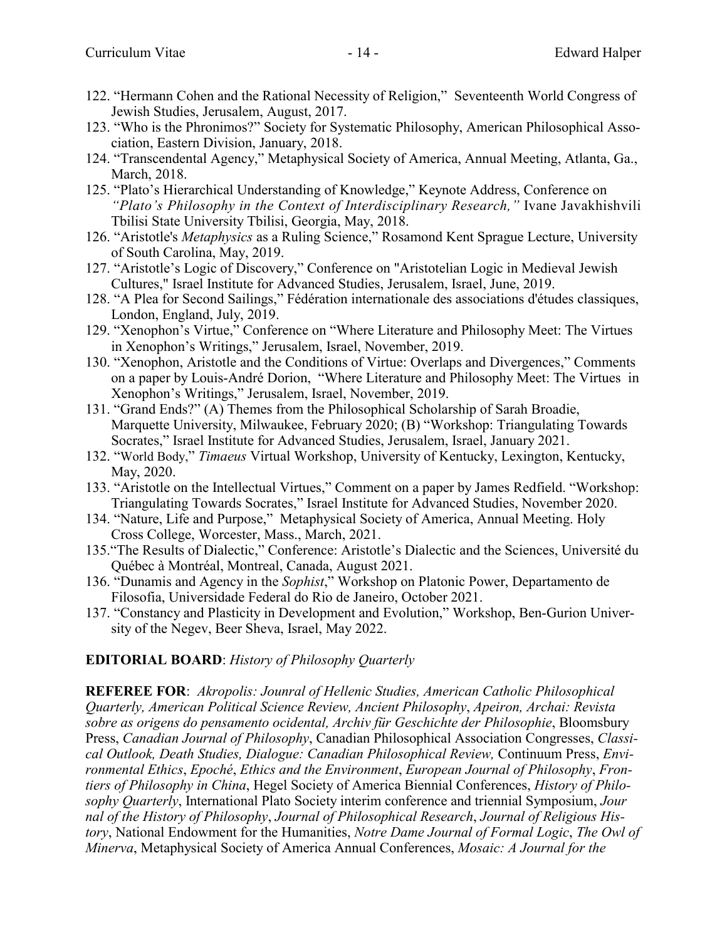- 122. "Hermann Cohen and the Rational Necessity of Religion," Seventeenth World Congress of Jewish Studies, Jerusalem, August, 2017.
- 123. "Who is the Phronimos?" Society for Systematic Philosophy, American Philosophical Association, Eastern Division, January, 2018.
- 124. "Transcendental Agency," Metaphysical Society of America, Annual Meeting, Atlanta, Ga., March, 2018.
- 125. "Plato's Hierarchical Understanding of Knowledge," Keynote Address, Conference on *"Plato's Philosophy in the Context of Interdisciplinary Research,"* Ivane Javakhishvili Tbilisi State University Tbilisi, Georgia, May, 2018.
- 126. "Aristotle's *Metaphysics* as a Ruling Science," Rosamond Kent Sprague Lecture, University of South Carolina, May, 2019.
- 127. "Aristotle's Logic of Discovery," Conference on "Aristotelian Logic in Medieval Jewish Cultures," Israel Institute for Advanced Studies, Jerusalem, Israel, June, 2019.
- 128. "A Plea for Second Sailings," Fédération internationale des associations d'études classiques, London, England, July, 2019.
- 129. "Xenophon's Virtue," Conference on "Where Literature and Philosophy Meet: The Virtues in Xenophon's Writings," Jerusalem, Israel, November, 2019.
- 130. "Xenophon, Aristotle and the Conditions of Virtue: Overlaps and Divergences," Comments on a paper by Louis-André Dorion, "Where Literature and Philosophy Meet: The Virtues in Xenophon's Writings," Jerusalem, Israel, November, 2019.
- 131. "Grand Ends?" (A) Themes from the Philosophical Scholarship of Sarah Broadie, Marquette University, Milwaukee, February 2020; (B) "Workshop: Triangulating Towards Socrates," Israel Institute for Advanced Studies, Jerusalem, Israel, January 2021.
- 132. "World Body," *Timaeus* Virtual Workshop, University of Kentucky, Lexington, Kentucky, May, 2020.
- 133. "Aristotle on the Intellectual Virtues," Comment on a paper by James Redfield. "Workshop: Triangulating Towards Socrates," Israel Institute for Advanced Studies, November 2020.
- 134. "Nature, Life and Purpose," Metaphysical Society of America, Annual Meeting. Holy Cross College, Worcester, Mass., March, 2021.
- 135."The Results of Dialectic," Conference: Aristotle's Dialectic and the Sciences, Université du Québec à Montréal, Montreal, Canada, August 2021.
- 136. "Dunamis and Agency in the *Sophist*," Workshop on Platonic Power, Departamento de Filosofia, Universidade Federal do Rio de Janeiro, October 2021.
- 137. "Constancy and Plasticity in Development and Evolution," Workshop, Ben-Gurion University of the Negev, Beer Sheva, Israel, May 2022.

### **EDITORIAL BOARD**: *History of Philosophy Quarterly*

**REFEREE FOR**: *Akropolis: Jounral of Hellenic Studies, American Catholic Philosophical Quarterly, American Political Science Review, Ancient Philosophy*, *Apeiron, Archai: Revista sobre as origens do pensamento ocidental, Archiv für Geschichte der Philosophie*, Bloomsbury Press, *Canadian Journal of Philosophy*, Canadian Philosophical Association Congresses, *Classical Outlook, Death Studies, Dialogue: Canadian Philosophical Review,* Continuum Press, *Environmental Ethics*, *Epoché*, *Ethics and the Environment*, *European Journal of Philosophy*, *Frontiers of Philosophy in China*, Hegel Society of America Biennial Conferences, *History of Philosophy Quarterly*, International Plato Society interim conference and triennial Symposium, *Jour nal of the History of Philosophy*, *Journal of Philosophical Research*, *Journal of Religious History*, National Endowment for the Humanities, *Notre Dame Journal of Formal Logic*, *The Owl of Minerva*, Metaphysical Society of America Annual Conferences, *Mosaic: A Journal for the*